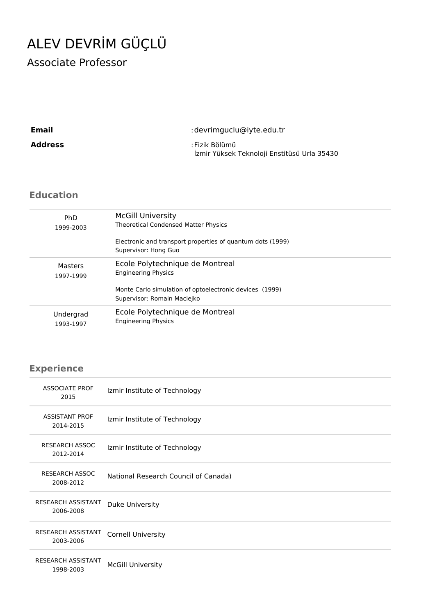# ALEV DEVRİM GÜÇLÜ

Associate Professor

| Email          | : devrimguclu@iyte.edu.tr                                     |
|----------------|---------------------------------------------------------------|
| <b>Address</b> | : Fizik Bölümü<br>İzmir Yüksek Teknoloji Enstitüsü Urla 35430 |

# **Education**

| <b>PhD</b> | <b>McGill University</b>                                                               |
|------------|----------------------------------------------------------------------------------------|
| 1999-2003  | <b>Theoretical Condensed Matter Physics</b>                                            |
|            | Electronic and transport properties of quantum dots (1999)<br>Supervisor: Hong Guo     |
| Masters    | Ecole Polytechnique de Montreal                                                        |
| 1997-1999  | <b>Engineering Physics</b>                                                             |
|            | Monte Carlo simulation of optoelectronic devices (1999)<br>Supervisor: Romain Maciejko |
| Undergrad  | Ecole Polytechnique de Montreal                                                        |
| 1993-1997  | <b>Engineering Physics</b>                                                             |

# **Experience**

| <b>ASSOCIATE PROF</b><br>2015          | Izmir Institute of Technology        |
|----------------------------------------|--------------------------------------|
| <b>ASSISTANT PROF</b><br>2014-2015     | Izmir Institute of Technology        |
| <b>RESEARCH ASSOC</b><br>2012-2014     | Izmir Institute of Technology        |
| <b>RESEARCH ASSOC</b><br>2008-2012     | National Research Council of Canada) |
| RESEARCH ASSISTANT<br>2006-2008        | Duke University                      |
| <b>RESEARCH ASSISTANT</b><br>2003-2006 | <b>Cornell University</b>            |
| <b>RESEARCH ASSISTANT</b><br>1998-2003 | <b>McGill University</b>             |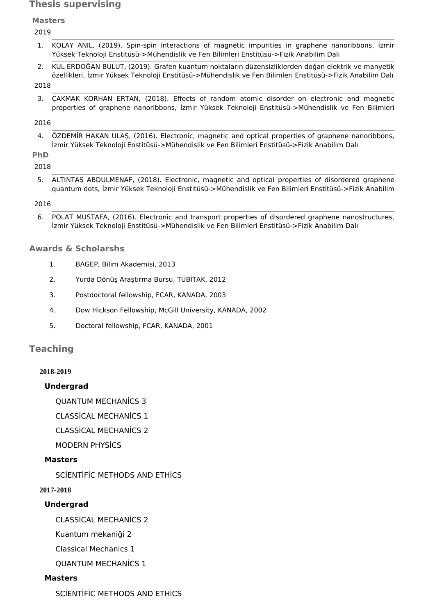# **Thesis supervising**

**Masters**

2019

- 1. KOLAY ANIL, (2019). Spin-spin interactions of magnetic impurities in graphene nanoribbons, İzmir Yüksek Teknoloji Enstitüsü->Mühendislik ve Fen Bilimleri Enstitüsü->Fizik Anabilim Dalı
- 2. KUL ERDOĞAN BULUT, (2019). Grafen kuantum noktaların düzensizliklerden doğan elektrik ve manyetik özellikleri, İzmir Yüksek Teknoloji Enstitüsü->Mühendislik ve Fen Bilimleri Enstitüsü->Fizik Anabilim Dalı

#### 2018

3. ÇAKMAK KORHAN ERTAN, (2018). Effects of random atomic disorder on electronic and magnetic properties of graphene nanoribbons, İzmir Yüksek Teknoloji Enstitüsü->Mühendislik ve Fen Bilimleri

# 2016

4. ÖZDEMİR HAKAN ULAŞ, (2016). Electronic, magnetic and optical properties of graphene nanoribbons, İzmir Yüksek Teknoloji Enstitüsü->Mühendislik ve Fen Bilimleri Enstitüsü->Fizik Anabilim Dalı

#### **PhD** 2018

5. ALTINTAŞ ABDULMENAF, (2018). Electronic, magnetic and optical properties of disordered graphene quantum dots, İzmir Yüksek Teknoloji Enstitüsü->Mühendislik ve Fen Bilimleri Enstitüsü->Fizik Anabilim

# 2016

6. POLAT MUSTAFA, (2016). Electronic and transport properties of disordered graphene nanostructures, İzmir Yüksek Teknoloji Enstitüsü->Mühendislik ve Fen Bilimleri Enstitüsü->Fizik Anabilim Dalı

# **Awards & Scholarshs**

- 1. BAGEP, Bilim Akademisi, 2013
- 2. Yurda Dönüş Araştırma Bursu, TÜBİTAK, 2012
- 3. Postdoctoral fellowship, FCAR, KANADA, 2003
- 4. Dow Hickson Fellowship, McGill University, KANADA, 2002
- 5. Doctoral fellowship, FCAR, KANADA, 2001

# **Teaching**

#### **2018-2019**

# **Undergrad**

QUANTUM MECHANİCS 3

CLASSİCAL MECHANİCS 1

CLASSİCAL MECHANİCS 2

MODERN PHYSİCS

# **Masters**

SCİENTİFİC METHODS AND ETHİCS

**2017-2018**

# **Undergrad**

CLASSİCAL MECHANİCS 2

Kuantum mekaniği 2

- Classical Mechanics 1
- QUANTUM MECHANİCS 1

# **Masters**

SCİENTİFİC METHODS AND ETHİCS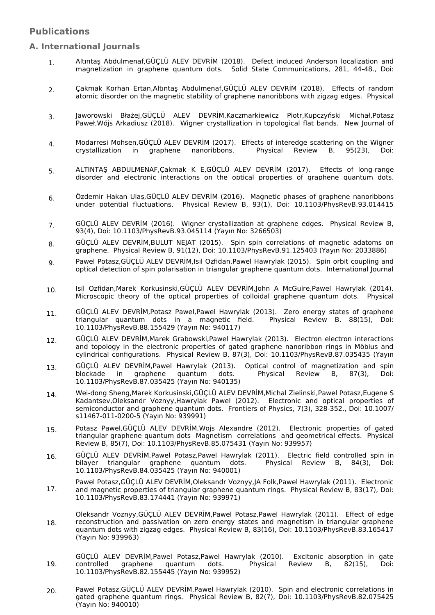# **Publications**

#### **A. International Journals**

- Altıntaş Abdulmenaf,GÜÇLÜ ALEV DEVRİM (2018). Defect induced Anderson localization and magnetization in graphene quantum dots. Solid State Communications, 281, 44-48., Doi: 1.
- Çakmak Korhan Ertan,Altıntaş Abdulmenaf,GÜÇLÜ ALEV DEVRİM (2018). Effects of random atomic disorder on the magnetic stability of graphene nanoribbons with zigzag edges. Physical 2.
- Jaworowski Błażej,GÜÇLÜ ALEV DEVRİM,Kaczmarkiewicz Piotr,Kupczyński Michał,Potasz Paweł,Wójs Arkadiusz (2018). Wigner crystallization in topological flat bands. New Journal of 3.
- Modarresi Mohsen,GÜÇLÜ ALEV DEVRİM (2017). Effects of interedge scattering on the Wigner<br>crystallization in graphene nanoribbons. Physical Review B, 95(23), Doi: crystallization in graphene nanoribbons. 4.
- ALTINTAŞ ABDULMENAF,Çakmak K E,GÜÇLÜ ALEV DEVRİM (2017). Effects of long-range disorder and electronic interactions on the optical properties of graphene quantum dots. 5.
- Özdemir Hakan Ulaş,GÜÇLÜ ALEV DEVRİM (2016). Magnetic phases of graphene nanoribbons under potential fluctuations. Physical Review B, 93(1), Doi: 10.1103/PhysRevB.93.014415 6.
- GÜÇLÜ ALEV DEVRİM (2016). Wigner crystallization at graphene edges. Physical Review B, 93(4), Doi: 10.1103/PhysRevB.93.045114 (Yayın No: 3266503) 7.
- GÜÇLÜ ALEV DEVRİM,BULUT NEJAT (2015). Spin spin correlations of magnetic adatoms on graphene. Physical Review B, 91(12), Doi: 10.1103/PhysRevB.91.125403 (Yayın No: 2033886) 8.
- Pawel Potasz,GÜÇLÜ ALEV DEVRİM,Isıl Ozfidan,Pawel Hawrylak (2015). Spin orbit coupling and optical detection of spin polarisation in triangular graphene quantum dots. International Journal 9.
- Isil Ozfidan,Marek Korkusinski,GÜÇLÜ ALEV DEVRİM,John A McGuire,Pawel Hawrylak (2014). Microscopic theory of the optical properties of colloidal graphene quantum dots. Physical 10.
- GÜÇLÜ ALEV DEVRİM,Potasz Pawel,Pawel Hawrylak (2013). Zero energy states of graphene triangular quantum dots in a magnetic field. Physical Review B, 88(15), Doi: 10.1103/PhysRevB.88.155429 (Yayın No: 940117) 11.
- GÜÇLÜ ALEV DEVRİM,Marek Grabowski,Pawel Hawrylak (2013). Electron electron interactions and topology in the electronic properties of gated graphene nanoribbon rings in Möbius and cylindrical configurations. Physical Review B, 87(3), Doi: 10.1103/PhysRevB.87.035435 (Yayın 12.
- GÜÇLÜ ALEV DEVRİM,Pawel Hawrylak (2013). Optical control of magnetization and spin blockade in graphene quantum dots. Physical Review B, 87(3), Doi: 10.1103/PhysRevB.87.035425 (Yayın No: 940135) 13.
- Wei-dong Sheng,Marek Korkusinski,GÜÇLÜ ALEV DEVRİM,Michal Zielinski,Pawel Potasz,Eugene S Kadantsev,Oleksandr Voznyy,Hawrylak Pawel (2012). Electronic and optical properties of semiconductor and graphene quantum dots. Frontiers of Physics, 7(3), 328-352., Doi: 10.1007/ s11467-011-0200-5 (Yayın No: 939991) 14.
- Potasz Pawel,GÜÇLÜ ALEV DEVRİM,Wojs Alexandre (2012). Electronic properties of gated triangular graphene quantum dots Magnetism correlations and geometrical effects. Physical Review B, 85(7), Doi: 10.1103/PhysRevB.85.075431 (Yayın No: 939957) 15.
- GÜÇLÜ ALEV DEVRİM,Pawel Potasz,Pawel Hawrylak (2011). Electric field controlled spin in bilayer triangular graphene quantum dots. Physical Review B, 84(3), Doi: 10.1103/PhysRevB.84.035425 (Yayın No: 940001) 16.
- Pawel Potasz,GÜÇLÜ ALEV DEVRİM,Oleksandr Voznyy,JA Folk,Pawel Hawrylak (2011). Electronic and magnetic properties of triangular graphene quantum rings. Physical Review B, 83(17), Doi: 10.1103/PhysRevB.83.174441 (Yayın No: 939971) 17.
- Oleksandr Voznyy,GÜÇLÜ ALEV DEVRİM,Pawel Potasz,Pawel Hawrylak (2011). Effect of edge reconstruction and passivation on zero energy states and magnetism in triangular graphene quantum dots with zigzag edges. Physical Review B, 83(16), Doi: 10.1103/PhysRevB.83.165417 (Yayın No: 939963) 18.
- GÜÇLÜ ALEV DEVRİM, Pawel Potasz, Pawel Hawrylak (2010). Excitonic absorption in gate controlled graphene quantum dots. Physical Review B, 82(15), Doi: graphene quantum dots. Physical Review B, 82(15), Doi: 10.1103/PhysRevB.82.155445 (Yayın No: 939952) 19.
- Pawel Potasz,GÜÇLÜ ALEV DEVRİM,Pawel Hawrylak (2010). Spin and electronic correlations in gated graphene quantum rings. Physical Review B, 82(7), Doi: 10.1103/PhysRevB.82.075425 (Yayın No: 940010) 20.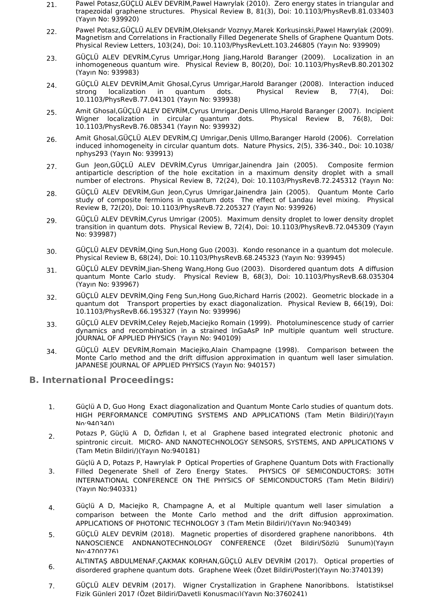- Pawel Potasz,GÜÇLÜ ALEV DEVRİM,Pawel Hawrylak (2010). Zero energy states in triangular and trapezoidal graphene structures. Physical Review B, 81(3), Doi: 10.1103/PhysRevB.81.033403 (Yayın No: 939920) 21.
- Pawel Potasz,GÜÇLÜ ALEV DEVRİM,Oleksandr Voznyy,Marek Korkusinski,Pawel Hawrylak (2009). Magnetism and Correlations in Fractionally Filled Degenerate Shells of Graphene Quantum Dots. Physical Review Letters, 103(24), Doi: 10.1103/PhysRevLett.103.246805 (Yayın No: 939909) 22.
- GÜÇLÜ ALEV DEVRİM,Cyrus Umrigar,Hong Jiang,Harold Baranger (2009). Localization in an inhomogeneous quantum wire. Physical Review B, 80(20), Doi: 10.1103/PhysRevB.80.201302 (Yayın No: 939983) 23.
- GÜÇLÜ ALEV DEVRİM,Amit Ghosal,Cyrus Umrigar,Harold Baranger (2008). Interaction induced strong localization in quantum dots. Physical Review B, 77(4), Doi: 10.1103/PhysRevB.77.041301 (Yayın No: 939938) 24.
- Amit Ghosal,GÜÇLÜ ALEV DEVRİM,Cyrus Umrigar,Denis Ullmo,Harold Baranger (2007). Incipient Wigner localization in circular quantum dots. Physical Review B, 76(8), Doi: 10.1103/PhysRevB.76.085341 (Yayın No: 939932) 25.
- Amit Ghosal,GÜÇLÜ ALEV DEVRİM,CJ Umrigar,Denis Ullmo,Baranger Harold (2006). Correlation induced inhomogeneity in circular quantum dots. Nature Physics, 2(5), 336-340., Doi: 10.1038/ nphys293 (Yayın No: 939913) 26.
- Gun Jeon,GÜÇLÜ ALEV DEVRİM,Cyrus Umrigar,Jainendra Jain (2005). Composite fermion antiparticle description of the hole excitation in a maximum density droplet with a small number of electrons. Physical Review B, 72(24), Doi: 10.1103/PhysRevB.72.245312 (Yayın No: 27.
- GÜÇLÜ ALEV DEVRİM,Gun Jeon,Cyrus Umrigar,Jainendra Jain (2005). Quantum Monte Carlo study of composite fermions in quantum dots The effect of Landau level mixing. Physical Review B, 72(20), Doi: 10.1103/PhysRevB.72.205327 (Yayın No: 939926) 28.
- GÜÇLÜ ALEV DEVRİM,Cyrus Umrigar (2005). Maximum density droplet to lower density droplet transition in quantum dots. Physical Review B, 72(4), Doi: 10.1103/PhysRevB.72.045309 (Yayın No: 939987) 29.
- GÜÇLÜ ALEV DEVRİM,Qing Sun,Hong Guo (2003). Kondo resonance in a quantum dot molecule. Physical Review B, 68(24), Doi: 10.1103/PhysRevB.68.245323 (Yayın No: 939945) 30.
- GÜÇLÜ ALEV DEVRİM,Jian-Sheng Wang,Hong Guo (2003). Disordered quantum dots A diffusion quantum Monte Carlo study. Physical Review B, 68(3), Doi: 10.1103/PhysRevB.68.035304 (Yayın No: 939967) 31.
- GÜÇLÜ ALEV DEVRİM,Qing Feng Sun,Hong Guo,Richard Harris (2002). Geometric blockade in a quantum dot Transport properties by exact diagonalization. Physical Review B, 66(19), Doi: 10.1103/PhysRevB.66.195327 (Yayın No: 939996) 32.
- GÜÇLÜ ALEV DEVRİM,Celey Rejeb,Maciejko Romain (1999). Photoluminescence study of carrier dynamics and recombination in a strained InGaAsP InP multiple quantum well structure. JOURNAL OF APPLIED PHYSICS (Yayın No: 940109) 33.
- GÜÇLÜ ALEV DEVRİM,Romain Maciejko,Alain Champagne (1998). Comparison between the Monte Carlo method and the drift diffusion approximation in quantum well laser simulation. JAPANESE JOURNAL OF APPLIED PHYSICS (Yayın No: 940157) 34.

# **B. International Proceedings:**

- Güçlü A D, Guo Hong Exact diagonalization and Quantum Monte Carlo studies of quantum dots. HIGH PERFORMANCE COMPUTING SYSTEMS AND APPLICATIONS (Tam Metin Bildiri/)(Yayın No:940340) 1.
- Potazs P, Güçlü A D, Özfidan I, et al Graphene based integrated electronic photonic and spintronic circuit. MICRO- AND NANOTECHNOLOGY SENSORS, SYSTEMS, AND APPLICATIONS V (Tam Metin Bildiri/)(Yayın No:940181) 2.
- Güçlü A D, Potazs P, Hawrylak P Optical Properties of Graphene Quantum Dots with Fractionally Filled Degenerate Shell of Zero Energy States. PHYSICS OF SEMICONDUCTORS: 30TH INTERNATIONAL CONFERENCE ON THE PHYSICS OF SEMICONDUCTORS (Tam Metin Bildiri/) (Yayın No:940331) 3.
- Güçlü A D, Maciejko R, Champagne A, et al Multiple quantum well laser simulation a comparison between the Monte Carlo method and the drift diffusion approximation. APPLICATIONS OF PHOTONIC TECHNOLOGY 3 (Tam Metin Bildiri/)(Yayın No:940349) 4.
- GÜÇLÜ ALEV DEVRİM (2018). Magnetic properties of disordered graphene nanoribbons. 4th NANOSCIENCE ANDNANOTECHNOLOGY CONFERENCE (Özet Bildiri/Sözlü Sunum)(Yayın No:4700776) 5.
- ALTINTAŞ ABDULMENAF,ÇAKMAK KORHAN,GÜÇLÜ ALEV DEVRİM (2017). Optical properties of disordered graphene quantum dots. Graphene Week (Özet Bildiri/Poster)(Yayın No:3740139) 6.
- GÜÇLÜ ALEV DEVRİM (2017). Wigner Crystallization in Graphene Nanoribbons. İstatistiksel Fizik Günleri 2017 (Özet Bildiri/Davetli Konuşmacı)(Yayın No:3760241) 7.